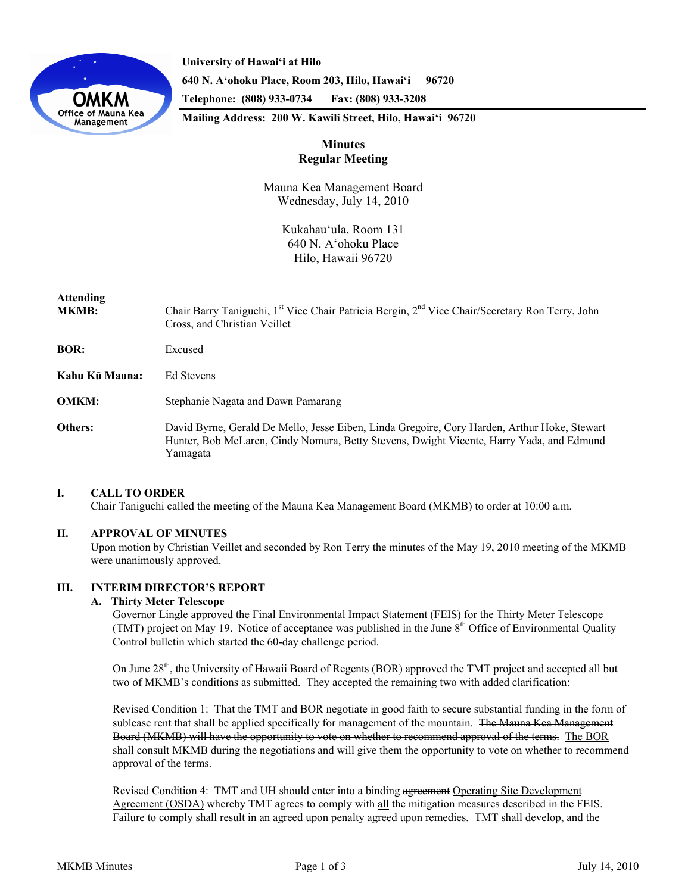

**University of Hawai'i at Hilo 640 N. A'ohoku Place, Room 203, Hilo, Hawai'i 96720 Telephone: (808) 933-0734 Fax: (808) 933-3208** 

**Mailing Address: 200 W. Kawili Street, Hilo, Hawai'i 96720** 

# **Minutes Regular Meeting**

Mauna Kea Management Board Wednesday, July 14, 2010

> Kukahauʻula, Room 131 640 N. Aʻohoku Place Hilo, Hawaii 96720

# **Attending**

- MKMB: Chair Barry Taniguchi, 1<sup>st</sup> Vice Chair Patricia Bergin, 2<sup>nd</sup> Vice Chair/Secretary Ron Terry, John Cross, and Christian Veillet
- **BOR:** Excused
- **Kahu Kū Mauna:** Ed Stevens
- **OMKM:** Stephanie Nagata and Dawn Pamarang
- **Others:** David Byrne, Gerald De Mello, Jesse Eiben, Linda Gregoire, Cory Harden, Arthur Hoke, Stewart Hunter, Bob McLaren, Cindy Nomura, Betty Stevens, Dwight Vicente, Harry Yada, and Edmund Yamagata

# **I. CALL TO ORDER**

Chair Taniguchi called the meeting of the Mauna Kea Management Board (MKMB) to order at 10:00 a.m.

## **II. APPROVAL OF MINUTES**

Upon motion by Christian Veillet and seconded by Ron Terry the minutes of the May 19, 2010 meeting of the MKMB were unanimously approved.

# **III. INTERIM DIRECTOR'S REPORT**

# **A. Thirty Meter Telescope**

Governor Lingle approved the Final Environmental Impact Statement (FEIS) for the Thirty Meter Telescope (TMT) project on May 19. Notice of acceptance was published in the June  $8<sup>th</sup>$  Office of Environmental Quality Control bulletin which started the 60-day challenge period.

On June 28<sup>th</sup>, the University of Hawaii Board of Regents (BOR) approved the TMT project and accepted all but two of MKMB's conditions as submitted. They accepted the remaining two with added clarification:

Revised Condition 1: That the TMT and BOR negotiate in good faith to secure substantial funding in the form of sublease rent that shall be applied specifically for management of the mountain. The Mauna Kea Management Board (MKMB) will have the opportunity to vote on whether to recommend approval of the terms. The BOR shall consult MKMB during the negotiations and will give them the opportunity to vote on whether to recommend approval of the terms.

Revised Condition 4: TMT and UH should enter into a binding agreement Operating Site Development Agreement (OSDA) whereby TMT agrees to comply with all the mitigation measures described in the FEIS. Failure to comply shall result in an agreed upon penalty agreed upon remedies*.* TMT shall develop, and the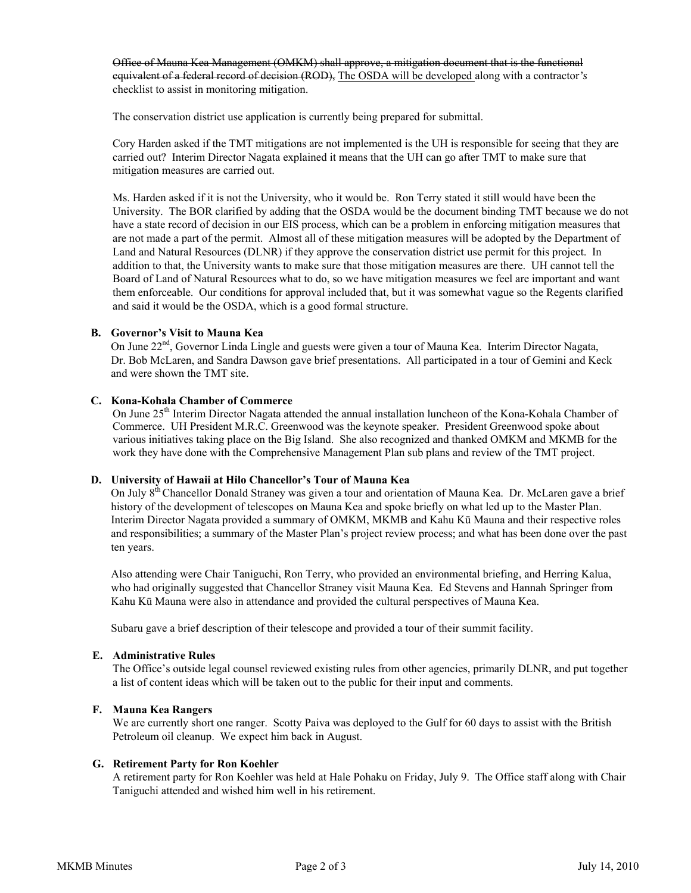Office of Mauna Kea Management (OMKM) shall approve, a mitigation document that is the functional equivalent of a federal record of decision (ROD), The OSDA will be developed along with a contractor*'s* checklist to assist in monitoring mitigation.

The conservation district use application is currently being prepared for submittal.

Cory Harden asked if the TMT mitigations are not implemented is the UH is responsible for seeing that they are carried out? Interim Director Nagata explained it means that the UH can go after TMT to make sure that mitigation measures are carried out.

Ms. Harden asked if it is not the University, who it would be. Ron Terry stated it still would have been the University. The BOR clarified by adding that the OSDA would be the document binding TMT because we do not have a state record of decision in our EIS process, which can be a problem in enforcing mitigation measures that are not made a part of the permit. Almost all of these mitigation measures will be adopted by the Department of Land and Natural Resources (DLNR) if they approve the conservation district use permit for this project. In addition to that, the University wants to make sure that those mitigation measures are there. UH cannot tell the Board of Land of Natural Resources what to do, so we have mitigation measures we feel are important and want them enforceable. Our conditions for approval included that, but it was somewhat vague so the Regents clarified and said it would be the OSDA, which is a good formal structure.

### **B. Governor's Visit to Mauna Kea**

On June 22<sup>nd</sup>, Governor Linda Lingle and guests were given a tour of Mauna Kea. Interim Director Nagata, Dr. Bob McLaren, and Sandra Dawson gave brief presentations. All participated in a tour of Gemini and Keck and were shown the TMT site.

### **C. Kona-Kohala Chamber of Commerce**

On June 25<sup>th</sup> Interim Director Nagata attended the annual installation luncheon of the Kona-Kohala Chamber of Commerce. UH President M.R.C. Greenwood was the keynote speaker. President Greenwood spoke about various initiatives taking place on the Big Island. She also recognized and thanked OMKM and MKMB for the work they have done with the Comprehensive Management Plan sub plans and review of the TMT project.

## **D. University of Hawaii at Hilo Chancellor's Tour of Mauna Kea**

On July 8th Chancellor Donald Straney was given a tour and orientation of Mauna Kea. Dr. McLaren gave a brief history of the development of telescopes on Mauna Kea and spoke briefly on what led up to the Master Plan. Interim Director Nagata provided a summary of OMKM, MKMB and Kahu Kū Mauna and their respective roles and responsibilities; a summary of the Master Plan's project review process; and what has been done over the past ten years.

Also attending were Chair Taniguchi, Ron Terry, who provided an environmental briefing, and Herring Kalua, who had originally suggested that Chancellor Straney visit Mauna Kea. Ed Stevens and Hannah Springer from Kahu Kū Mauna were also in attendance and provided the cultural perspectives of Mauna Kea.

Subaru gave a brief description of their telescope and provided a tour of their summit facility.

#### **E. Administrative Rules**

 The Office's outside legal counsel reviewed existing rules from other agencies, primarily DLNR, and put together a list of content ideas which will be taken out to the public for their input and comments.

## **F. Mauna Kea Rangers**

 We are currently short one ranger. Scotty Paiva was deployed to the Gulf for 60 days to assist with the British Petroleum oil cleanup. We expect him back in August.

#### **G. Retirement Party for Ron Koehler**

 A retirement party for Ron Koehler was held at Hale Pohaku on Friday, July 9. The Office staff along with Chair Taniguchi attended and wished him well in his retirement.